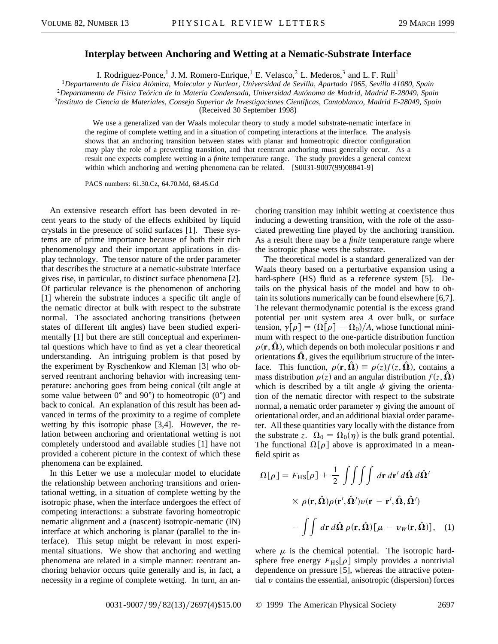## **Interplay between Anchoring and Wetting at a Nematic-Substrate Interface**

I. Rodríguez-Ponce,<sup>1</sup> J. M. Romero-Enrique,<sup>1</sup> E. Velasco,<sup>2</sup> L. Mederos,<sup>3</sup> and L. F. Rull<sup>1</sup>

<sup>1</sup>*Departamento de Fı´sica Atómica, Molecular y Nuclear, Universidad de Sevilla, Apartado 1065, Sevilla 41080, Spain* <sup>2</sup>*Departamento de Fı´sica Teórica de la Materia Condensada, Universidad Autónoma de Madrid, Madrid E-28049, Spain* <sup>3</sup>*Instituto de Ciencia de Materiales, Consejo Superior de Investigaciones Cientı´ficas, Cantoblanco, Madrid E-28049, Spain*

(Received 30 September 1998)

We use a generalized van der Waals molecular theory to study a model substrate-nematic interface in the regime of complete wetting and in a situation of competing interactions at the interface. The analysis shows that an anchoring transition between states with planar and homeotropic director configuration may play the role of a prewetting transition, and that reentrant anchoring must generally occur. As a result one expects complete wetting in a *finite* temperature range. The study provides a general context within which anchoring and wetting phenomena can be related. [S0031-9007(99)08841-9]

PACS numbers: 61.30.Cz, 64.70.Md, 68.45.Gd

An extensive research effort has been devoted in recent years to the study of the effects exhibited by liquid crystals in the presence of solid surfaces [1]. These systems are of prime importance because of both their rich phenomenology and their important applications in display technology. The tensor nature of the order parameter that describes the structure at a nematic-substrate interface gives rise, in particular, to distinct surface phenomena [2]. Of particular relevance is the phenomenon of anchoring [1] wherein the substrate induces a specific tilt angle of the nematic director at bulk with respect to the substrate normal. The associated anchoring transitions (between states of different tilt angles) have been studied experimentally [1] but there are still conceptual and experimental questions which have to find as yet a clear theoretical understanding. An intriguing problem is that posed by the experiment by Ryschenkow and Kleman [3] who observed reentrant anchoring behavior with increasing temperature: anchoring goes from being conical (tilt angle at some value between  $0^{\circ}$  and  $90^{\circ}$ ) to homeotropic  $(0^{\circ})$  and back to conical. An explanation of this result has been advanced in terms of the proximity to a regime of complete wetting by this isotropic phase [3,4]. However, the relation between anchoring and orientational wetting is not completely understood and available studies [1] have not provided a coherent picture in the context of which these phenomena can be explained.

In this Letter we use a molecular model to elucidate the relationship between anchoring transitions and orientational wetting, in a situation of complete wetting by the isotropic phase, when the interface undergoes the effect of competing interactions: a substrate favoring homeotropic nematic alignment and a (nascent) isotropic-nematic (IN) interface at which anchoring is planar (parallel to the interface). This setup might be relevant in most experimental situations. We show that anchoring and wetting phenomena are related in a simple manner: reentrant anchoring behavior occurs quite generally and is, in fact, a necessity in a regime of complete wetting. In turn, an anchoring transition may inhibit wetting at coexistence thus inducing a dewetting transition, with the role of the associated prewetting line played by the anchoring transition. As a result there may be a *finite* temperature range where the isotropic phase wets the substrate.

The theoretical model is a standard generalized van der Waals theory based on a perturbative expansion using a hard-sphere (HS) fluid as a reference system [5]. Details on the physical basis of the model and how to obtain its solutions numerically can be found elsewhere [6,7]. The relevant thermodynamic potential is the excess grand potential per unit system area *A* over bulk, or surface tension,  $\gamma[\rho] = (\Omega[\rho] - \Omega_0)/A$ , whose functional minimum with respect to the one-particle distribution function  $\rho(\mathbf{r}, \mathbf{\Omega})$ , which depends on both molecular positions **r** and orientations  $\hat{\Omega}$ , gives the equilibrium structure of the interface. This function,  $\rho(\mathbf{r}, \hat{\mathbf{\Omega}}) \equiv \rho(z) f(z, \hat{\mathbf{\Omega}})$ , contains a mass distribution  $\rho(z)$  and an angular distribution  $f(z, \hat{\Omega})$ which is described by a tilt angle  $\psi$  giving the orientation of the nematic director with respect to the substrate normal, a nematic order parameter  $\eta$  giving the amount of orientational order, and an additional biaxial order parameter. All these quantities vary locally with the distance from the substrate *z*.  $\Omega_0 = \Omega_0(\eta)$  is the bulk grand potential. The functional  $\Omega[\rho]$  above is approximated in a meanfield spirit as

$$
\Omega[\rho] = F_{\text{HS}}[\rho] + \frac{1}{2} \iiint \int d\mathbf{r} d\mathbf{r}' d\hat{\mathbf{\Omega}} d\hat{\mathbf{\Omega}}'
$$
  
 
$$
\times \rho(\mathbf{r}, \hat{\mathbf{\Omega}}) \rho(\mathbf{r}', \hat{\mathbf{\Omega}}') \nu(\mathbf{r} - \mathbf{r}', \hat{\mathbf{\Omega}}, \hat{\mathbf{\Omega}}')
$$

$$
- \iint d\mathbf{r} d\hat{\mathbf{\Omega}} \rho(\mathbf{r}, \hat{\mathbf{\Omega}}) [\mu - \nu_{W}(\mathbf{r}, \hat{\mathbf{\Omega}})], \quad (1)
$$

where  $\mu$  is the chemical potential. The isotropic hardsphere free energy  $F_{\text{H}}\text{s}[\rho]$  simply provides a nontrivial dependence on pressure [5], whereas the attractive potential  $\nu$  contains the essential, anisotropic (dispersion) forces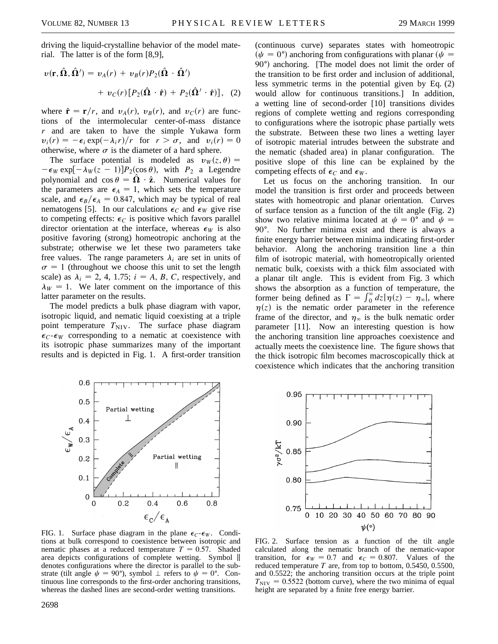driving the liquid-crystalline behavior of the model material. The latter is of the form [8,9],

$$
v(\mathbf{r}, \hat{\mathbf{\Omega}}, \hat{\mathbf{\Omega}}') = v_A(r) + v_B(r)P_2(\hat{\mathbf{\Omega}} \cdot \hat{\mathbf{\Omega}}')
$$
  
+ 
$$
v_C(r)[P_2(\hat{\mathbf{\Omega}} \cdot \hat{\mathbf{r}}) + P_2(\hat{\mathbf{\Omega}}' \cdot \hat{\mathbf{r}})], (2)
$$

where  $\hat{\mathbf{r}} = \mathbf{r}/r$ , and  $v_A(r)$ ,  $v_B(r)$ , and  $v_C(r)$  are functions of the intermolecular center-of-mass distance *r* and are taken to have the simple Yukawa form  $v_i(r) = -\epsilon_i \exp(-\lambda_i r)/r$  for  $r > \sigma$ , and  $v_i(r) = 0$ otherwise, where  $\sigma$  is the diameter of a hard sphere.

The surface potential is modeled as  $v_W(z, \theta) =$  $-\epsilon_W \exp[-\lambda_W(z-1)]P_2(\cos \theta)$ , with  $P_2$  a Legendre polynomial and  $\cos \theta = \hat{\Omega} \cdot \hat{z}$ . Numerical values for the parameters are  $\epsilon_A = 1$ , which sets the temperature scale, and  $\epsilon_B/\epsilon_A = 0.847$ , which may be typical of real nematogens [5]. In our calculations  $\epsilon_C$  and  $\epsilon_W$  give rise to competing effects:  $\epsilon_C$  is positive which favors parallel director orientation at the interface, whereas  $\epsilon_W$  is also positive favoring (strong) homeotropic anchoring at the substrate; otherwise we let these two parameters take free values. The range parameters  $\lambda_i$  are set in units of  $\sigma = 1$  (throughout we choose this unit to set the length scale) as  $\lambda_i = 2, 4, 1.75$ ;  $i = A, B, C$ , respectively, and  $\lambda_W = 1$ . We later comment on the importance of this latter parameter on the results.

The model predicts a bulk phase diagram with vapor, isotropic liquid, and nematic liquid coexisting at a triple point temperature  $T_{\text{NIV}}$ . The surface phase diagram  $\epsilon_C$ - $\epsilon_W$  corresponding to a nematic at coexistence with its isotropic phase summarizes many of the important results and is depicted in Fig. 1. A first-order transition

(continuous curve) separates states with homeotropic  $(\psi = 0^{\degree})$  anchoring from configurations with planar  $(\psi = \frac{\pi}{\sqrt{2\pi}})$  $90^\circ$ ) anchoring. [The model does not limit the order of the transition to be first order and inclusion of additional, less symmetric terms in the potential given by Eq. (2) would allow for continuous transitions.] In addition, a wetting line of second-order [10] transitions divides regions of complete wetting and regions corresponding to configurations where the isotropic phase partially wets the substrate. Between these two lines a wetting layer of isotropic material intrudes between the substrate and the nematic (shaded area) in planar configuration. The positive slope of this line can be explained by the competing effects of  $\epsilon_C$  and  $\epsilon_W$ .

Let us focus on the anchoring transition. In our model the transition is first order and proceeds between states with homeotropic and planar orientation. Curves of surface tension as a function of the tilt angle (Fig. 2) show two relative minima located at  $\psi = 0^{\circ}$  and  $\psi =$ 90°. No further minima exist and there is always a finite energy barrier between minima indicating first-order behavior. Along the anchoring transition line a thin film of isotropic material, with homeotropically oriented nematic bulk, coexists with a thick film associated with a planar tilt angle. This is evident from Fig. 3 which shows the absorption as a function of temperature, the former being defined as  $\Gamma = \int_0^\infty dz |\eta(z) - \eta_\infty|$ , where  $\eta(z)$  is the nematic order parameter in the reference frame of the director, and  $\eta_{\infty}$  is the bulk nematic order parameter [11]. Now an interesting question is how the anchoring transition line approaches coexistence and actually meets the coexistence line. The figure shows that the thick isotropic film becomes macroscopically thick at coexistence which indicates that the anchoring transition



FIG. 1. Surface phase diagram in the plane  $\epsilon_C - \epsilon_W$ . Conditions at bulk correspond to coexistence between isotropic and nematic phases at a reduced temperature  $T = 0.57$ . Shaded area depicts configurations of complete wetting. Symbol k denotes configurations where the director is parallel to the substrate (tilt angle  $\psi = 90^{\circ}$ ), symbol  $\perp$  refers to  $\psi = 0^{\circ}$ . Continuous line corresponds to the first-order anchoring transitions, whereas the dashed lines are second-order wetting transitions.



FIG. 2. Surface tension as a function of the tilt angle calculated along the nematic branch of the nematic-vapor transition, for  $\epsilon_W = 0.7$  and  $\epsilon_C = 0.807$ . Values of the reduced temperature *T* are, from top to bottom, 0.5450, 0.5500, and 0.5522; the anchoring transition occurs at the triple point  $T_{\text{NIV}} = 0.5522$  (bottom curve), where the two minima of equal height are separated by a finite free energy barrier.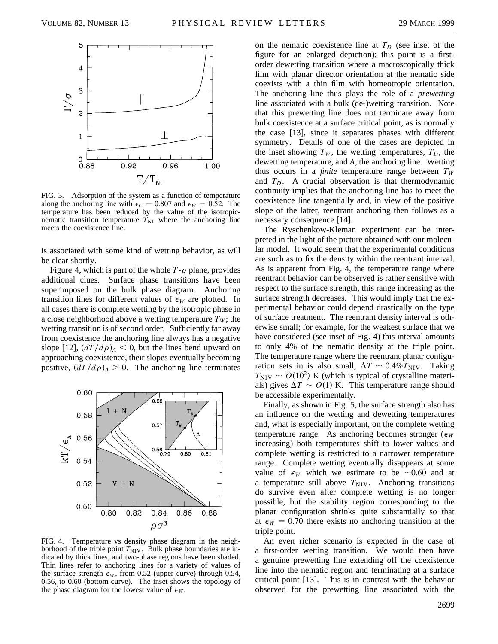

FIG. 3. Adsorption of the system as a function of temperature along the anchoring line with  $\epsilon_C = 0.807$  and  $\epsilon_W = 0.52$ . The temperature has been reduced by the value of the isotropicnematic transition temperature  $T_{\text{NI}}$  where the anchoring line meets the coexistence line.

is associated with some kind of wetting behavior, as will be clear shortly.

Figure 4, which is part of the whole  $T-\rho$  plane, provides additional clues. Surface phase transitions have been superimposed on the bulk phase diagram. Anchoring transition lines for different values of  $\epsilon_W$  are plotted. In all cases there is complete wetting by the isotropic phase in a close neighborhood above a wetting temperature  $T_W$ ; the wetting transition is of second order. Sufficiently far away from coexistence the anchoring line always has a negative slope [12],  $(dT/d\rho)_{A}$  < 0, but the lines bend upward on approaching coexistence, their slopes eventually becoming positive,  $\left(\frac{dT}{dp}\right)_A > 0$ . The anchoring line terminates



FIG. 4. Temperature vs density phase diagram in the neighborhood of the triple point  $T_{\text{NIV}}$ . Bulk phase boundaries are indicated by thick lines, and two-phase regions have been shaded. Thin lines refer to anchoring lines for a variety of values of the surface strength  $\epsilon_W$ , from 0.52 (upper curve) through 0.54, 0.56, to 0.60 (bottom curve). The inset shows the topology of the phase diagram for the lowest value of  $\epsilon_W$ .

on the nematic coexistence line at  $T_D$  (see inset of the figure for an enlarged depiction); this point is a firstorder dewetting transition where a macroscopically thick film with planar director orientation at the nematic side coexists with a thin film with homeotropic orientation. The anchoring line thus plays the role of a *prewetting* line associated with a bulk (de-)wetting transition. Note that this prewetting line does not terminate away from bulk coexistence at a surface critical point, as is normally the case [13], since it separates phases with different symmetry. Details of one of the cases are depicted in the inset showing  $T_W$ , the wetting temperatures,  $T_D$ , the dewetting temperature, and *A*, the anchoring line. Wetting thus occurs in a *finite* temperature range between  $T_W$ and  $T_D$ . A crucial observation is that thermodynamic continuity implies that the anchoring line has to meet the coexistence line tangentially and, in view of the positive slope of the latter, reentrant anchoring then follows as a necessary consequence [14].

The Ryschenkow-Kleman experiment can be interpreted in the light of the picture obtained with our molecular model. It would seem that the experimental conditions are such as to fix the density within the reentrant interval. As is apparent from Fig. 4, the temperature range where reentrant behavior can be observed is rather sensitive with respect to the surface strength, this range increasing as the surface strength decreases. This would imply that the experimental behavior could depend drastically on the type of surface treatment. The reentrant density interval is otherwise small; for example, for the weakest surface that we have considered (see inset of Fig. 4) this interval amounts to only 4% of the nematic density at the triple point. The temperature range where the reentrant planar configuration sets in is also small,  $\Delta T \sim 0.4\%T_{\rm NIV}$ . Taking  $T_{\text{NIV}} \sim O(10^2)$  K (which is typical of crystalline materials) gives  $\Delta T \sim O(1)$  K. This temperature range should be accessible experimentally.

Finally, as shown in Fig. 5, the surface strength also has an influence on the wetting and dewetting temperatures and, what is especially important, on the complete wetting temperature range. As anchoring becomes stronger ( $\epsilon_W$ ) increasing) both temperatures shift to lower values and complete wetting is restricted to a narrower temperature range. Complete wetting eventually disappears at some value of  $\epsilon_W$  which we estimate to be  $\sim 0.60$  and at a temperature still above  $T_{\text{NIV}}$ . Anchoring transitions do survive even after complete wetting is no longer possible, but the stability region corresponding to the planar configuration shrinks quite substantially so that at  $\epsilon_W = 0.70$  there exists no anchoring transition at the triple point.

An even richer scenario is expected in the case of a first-order wetting transition. We would then have a genuine prewetting line extending off the coexistence line into the nematic region and terminating at a surface critical point [13]. This is in contrast with the behavior observed for the prewetting line associated with the